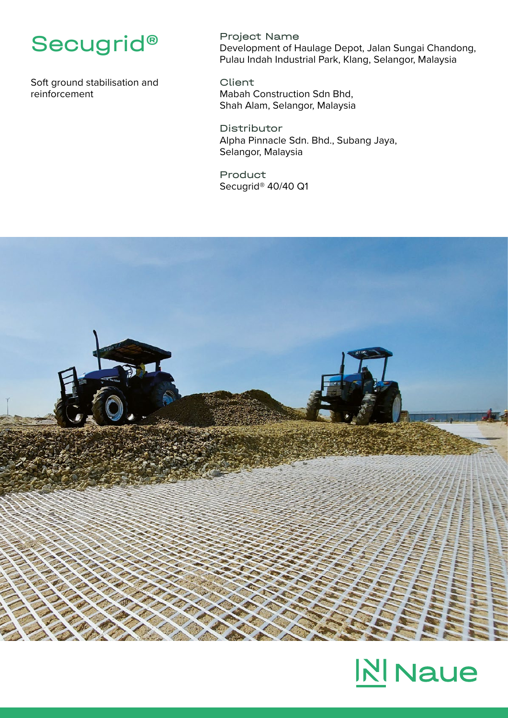

Soft ground stabilisation and reinforcement

Project Name Development of Haulage Depot, Jalan Sungai Chandong, Pulau Indah Industrial Park, Klang, Selangor, Malaysia

Client Mabah Construction Sdn Bhd, Shah Alam, Selangor, Malaysia

Distributor Alpha Pinnacle Sdn. Bhd., Subang Jaya, Selangor, Malaysia

Product Secugrid® 40/40 Q1



## **NI** Naue